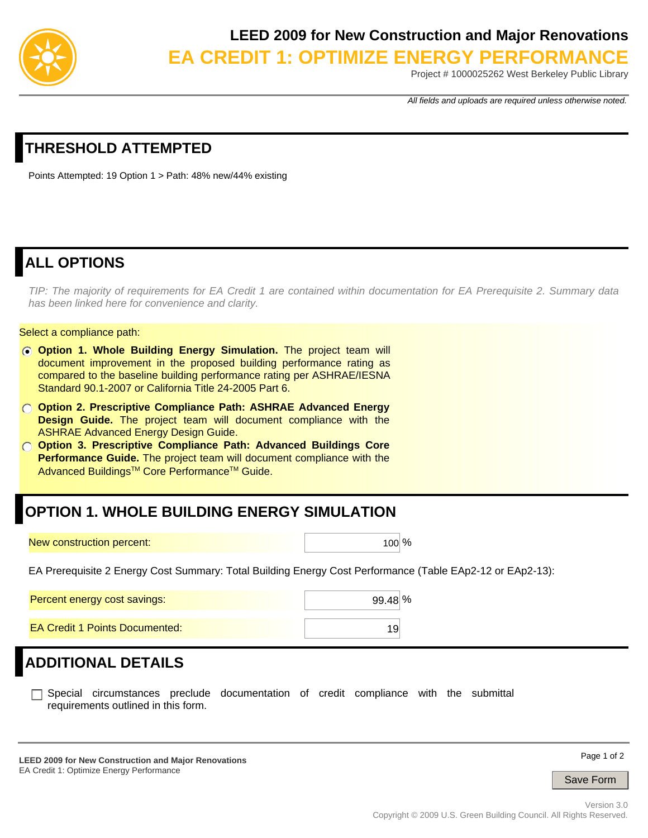

#### **LEED 2009 for New Construction and Major Renovations**

**EA CREDIT 1: OPTIMIZE ENERGY PERFORMANCE**

Project # 1000025262 West Berkeley Public Library

*All fields and uploads are required unless otherwise noted.*

### **THRESHOLD ATTEMPTED**

Points Attempted: 19 Option 1 > Path: 48% new/44% existing

### **ALL OPTIONS**

*TIP: The majority of requirements for EA Credit 1 are contained within documentation for EA Prerequisite 2. Summary data has been linked here for convenience and clarity.* 

#### Select a compliance path:

- **Option 1. Whole Building Energy Simulation.** The project team will document improvement in the proposed building performance rating as compared to the baseline building performance rating per ASHRAE/IESNA Standard 90.1-2007 or California Title 24-2005 Part 6.
- **Option 2. Prescriptive Compliance Path: ASHRAE Advanced Energy Design Guide.** The project team will document compliance with the ASHRAE Advanced Energy Design Guide.
- **Option 3. Prescriptive Compliance Path: Advanced Buildings Core Performance Guide.** The project team will document compliance with the Advanced Buildings<sup>™</sup> Core Performance<sup>™</sup> Guide.

#### **OPTION 1. WHOLE BUILDING ENERGY SIMULATION**

New construction percent: 100 \, 100 \, 100 \, 100 \, 100 \, 100 \, 100 \, 100 \, 100 \, 100 \, 100 \, 100 \, 100 \, 100 \, 100 \, 100 \, 100 \, 100 \, 100 \, 100 \, 100 \, 100 \, 100 \, 100 \, 100 \, 100 \, 100 \, 100 \,

EA Prerequisite 2 Energy Cost Summary: Total Building Energy Cost Performance (Table EAp2-12 or EAp2-13):

| Percent energy cost savings:   | $99.48\%$ |
|--------------------------------|-----------|
| EA Credit 1 Points Documented: |           |

#### **ADDITIONAL DETAILS**

Special circumstances preclude documentation of credit compliance with the submittal requirements outlined in this form.

**LEED 2009 for New Construction and Major Renovations**  EA Credit 1: Optimize Energy Performance

Page 1 of 2

Save Form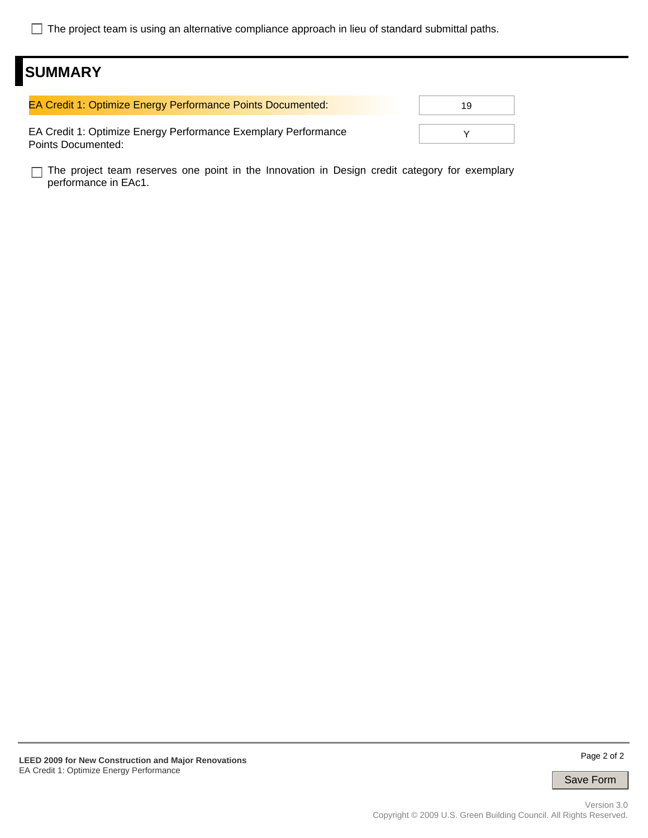The project team is using an alternative compliance approach in lieu of standard submittal paths.

### **SUMMARY**

| EA Credit 1: Optimize Energy Performance Points Documented:                          | 1 Q |
|--------------------------------------------------------------------------------------|-----|
| EA Credit 1: Optimize Energy Performance Exemplary Performance<br>Points Documented: |     |

The project team reserves one point in the Innovation in Design credit category for exemplary performance in EAc1.

Save Form

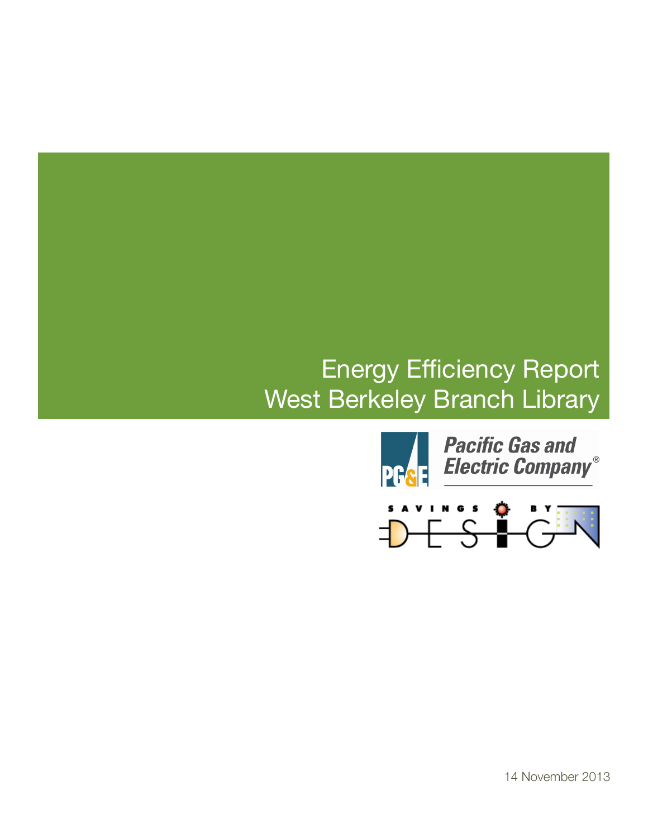## Energy Efficiency Report West Berkeley Branch Library



14 November 2013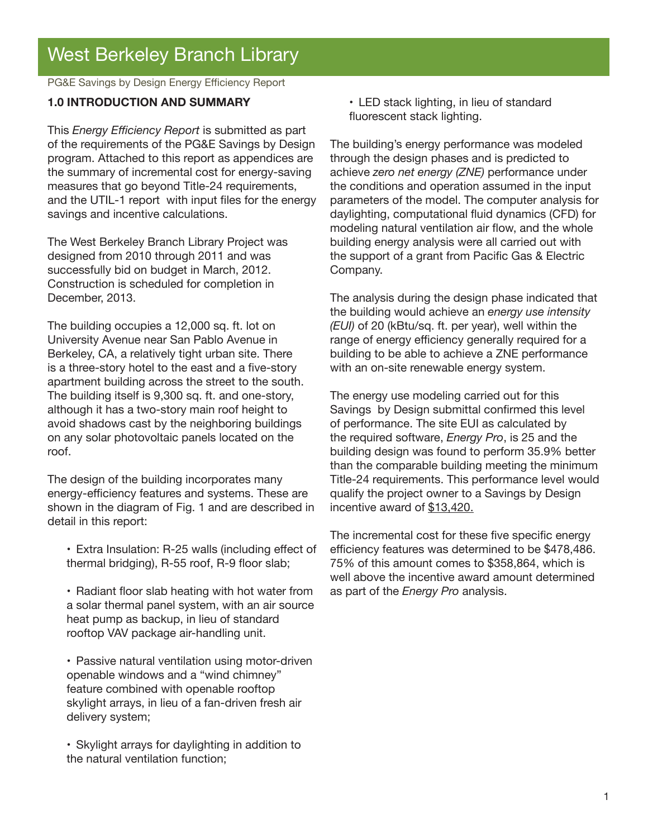PG&E Savings by Design Energy Efficiency Report

#### **1.0 INTRODUCTION AND SUMMARY**

This *Energy Efficiency Report* is submitted as part of the requirements of the PG&E Savings by Design program. Attached to this report as appendices are the summary of incremental cost for energy-saving measures that go beyond Title-24 requirements, and the UTIL-1 report with input files for the energy savings and incentive calculations.

The West Berkeley Branch Library Project was designed from 2010 through 2011 and was successfully bid on budget in March, 2012. Construction is scheduled for completion in December, 2013.

The building occupies a 12,000 sq. ft. lot on University Avenue near San Pablo Avenue in Berkeley, CA, a relatively tight urban site. There is a three-story hotel to the east and a five-story apartment building across the street to the south. The building itself is 9,300 sq. ft. and one-story, although it has a two-story main roof height to avoid shadows cast by the neighboring buildings on any solar photovoltaic panels located on the roof.

The design of the building incorporates many energy-efficiency features and systems. These are shown in the diagram of Fig. 1 and are described in detail in this report:

- Extra Insulation: R-25 walls (including effect of thermal bridging), R-55 roof, R-9 floor slab;
- Radiant floor slab heating with hot water from a solar thermal panel system, with an air source heat pump as backup, in lieu of standard rooftop VAV package air-handling unit.

• Passive natural ventilation using motor-driven openable windows and a "wind chimney" feature combined with openable rooftop skylight arrays, in lieu of a fan-driven fresh air delivery system;

• Skylight arrays for daylighting in addition to the natural ventilation function;

• LED stack lighting, in lieu of standard fluorescent stack lighting.

The building's energy performance was modeled through the design phases and is predicted to achieve *zero net energy (ZNE)* performance under the conditions and operation assumed in the input parameters of the model. The computer analysis for daylighting, computational fluid dynamics (CFD) for modeling natural ventilation air flow, and the whole building energy analysis were all carried out with the support of a grant from Pacific Gas & Electric Company.

The analysis during the design phase indicated that the building would achieve an *energy use intensity (EUI)* of 20 (kBtu/sq. ft. per year), well within the range of energy efficiency generally required for a building to be able to achieve a ZNE performance with an on-site renewable energy system.

The energy use modeling carried out for this Savings by Design submittal confirmed this level of performance. The site EUI as calculated by the required software, *Energy Pro*, is 25 and the building design was found to perform 35.9% better than the comparable building meeting the minimum Title-24 requirements. This performance level would qualify the project owner to a Savings by Design incentive award of \$13,420.

The incremental cost for these five specific energy efficiency features was determined to be \$478,486. 75% of this amount comes to \$358,864, which is well above the incentive award amount determined as part of the *Energy Pro* analysis.